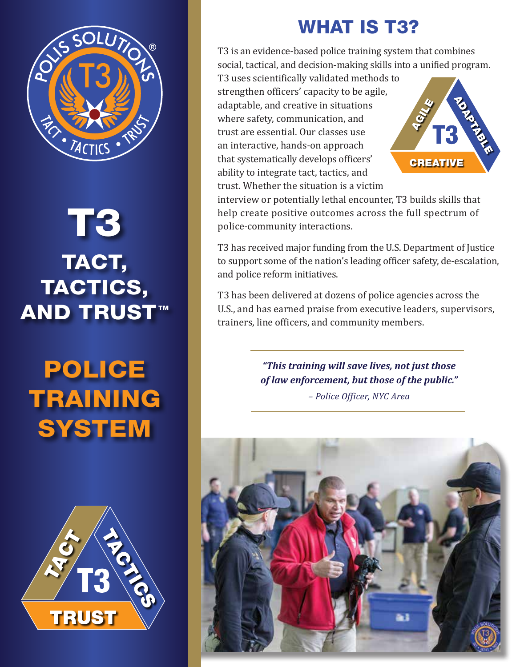

# T3 TACT, TACTICS, **AND TRUST™**

## POLICE TRAINING **SYSTEM**



### WHAT IS T3?

T3 is an evidence-based police training system that combines social, tactical, and decision-making skills into a unified program.

T3 uses scientifically validated methods to strengthen officers' capacity to be agile, adaptable, and creative in situations where safety, communication, and trust are essential. Our classes use an interactive, hands-on approach that systematically develops officers' ability to integrate tact, tactics, and trust. Whether the situation is a victim



interview or potentially lethal encounter, T3 builds skills that help create positive outcomes across the full spectrum of police-community interactions.

T3 has received major funding from the U.S. Department of Justice to support some of the nation's leading officer safety, de-escalation, and police reform initiatives.

T3 has been delivered at dozens of police agencies across the U.S., and has earned praise from executive leaders, supervisors, trainers, line officers, and community members.

> *"This training will save lives, not just those of law enforcement, but those of the public."*

> > *– Police Officer, NYC Area*